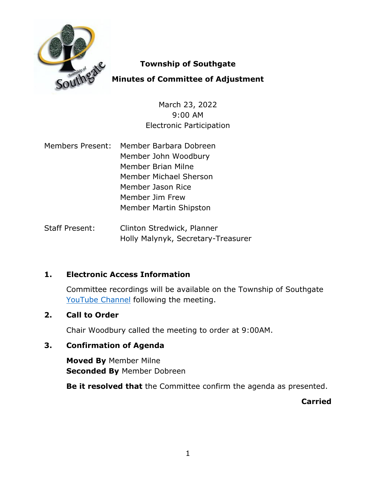

### **Township of Southgate**

# **Minutes of Committee of Adjustment**

March 23, 2022 9:00 AM Electronic Participation

- Members Present: Member Barbara Dobreen Member John Woodbury Member Brian Milne Member Michael Sherson Member Jason Rice Member Jim Frew Member Martin Shipston
- Staff Present: Clinton Stredwick, Planner Holly Malynyk, Secretary-Treasurer

# **1. Electronic Access Information**

Committee recordings will be available on the Township of Southgate [YouTube Channel](https://www.youtube.com/user/SouthgateTownship) following the meeting.

### **2. Call to Order**

Chair Woodbury called the meeting to order at 9:00AM.

# **3. Confirmation of Agenda**

**Moved By** Member Milne **Seconded By** Member Dobreen

**Be it resolved that** the Committee confirm the agenda as presented.

**Carried**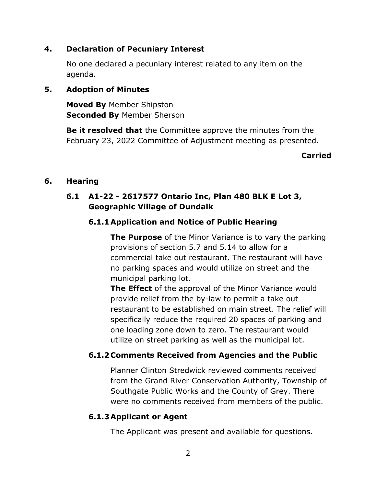### **4. Declaration of Pecuniary Interest**

No one declared a pecuniary interest related to any item on the agenda.

### **5. Adoption of Minutes**

**Moved By** Member Shipston **Seconded By** Member Sherson

**Be it resolved that** the Committee approve the minutes from the February 23, 2022 Committee of Adjustment meeting as presented.

#### **Carried**

### **6. Hearing**

### **6.1 A1-22 - 2617577 Ontario Inc, Plan 480 BLK E Lot 3, Geographic Village of Dundalk**

### **6.1.1Application and Notice of Public Hearing**

**The Purpose** of the Minor Variance is to vary the parking provisions of section 5.7 and 5.14 to allow for a commercial take out restaurant. The restaurant will have no parking spaces and would utilize on street and the municipal parking lot.

**The Effect** of the approval of the Minor Variance would provide relief from the by-law to permit a take out restaurant to be established on main street. The relief will specifically reduce the required 20 spaces of parking and one loading zone down to zero. The restaurant would utilize on street parking as well as the municipal lot.

### **6.1.2 Comments Received from Agencies and the Public**

Planner Clinton Stredwick reviewed comments received from the Grand River Conservation Authority, Township of Southgate Public Works and the County of Grey. There were no comments received from members of the public.

#### **6.1.3Applicant or Agent**

The Applicant was present and available for questions.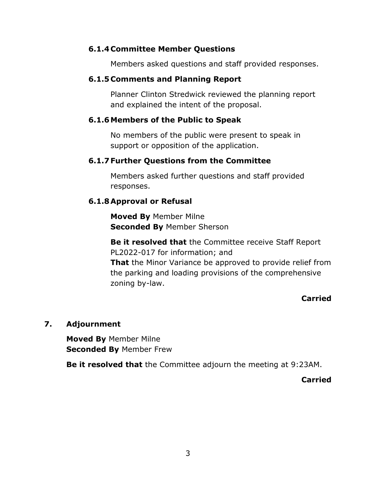### **6.1.4 Committee Member Questions**

Members asked questions and staff provided responses.

### **6.1.5 Comments and Planning Report**

Planner Clinton Stredwick reviewed the planning report and explained the intent of the proposal.

### **6.1.6Members of the Public to Speak**

No members of the public were present to speak in support or opposition of the application.

### **6.1.7 Further Questions from the Committee**

Members asked further questions and staff provided responses.

### **6.1.8Approval or Refusal**

zoning by-law.

**Moved By** Member Milne **Seconded By** Member Sherson

# **Be it resolved that** the Committee receive Staff Report PL2022-017 for information; and **That** the Minor Variance be approved to provide relief from the parking and loading provisions of the comprehensive

#### **Carried**

#### **7. Adjournment**

**Moved By** Member Milne **Seconded By** Member Frew

**Be it resolved that** the Committee adjourn the meeting at 9:23AM.

**Carried**